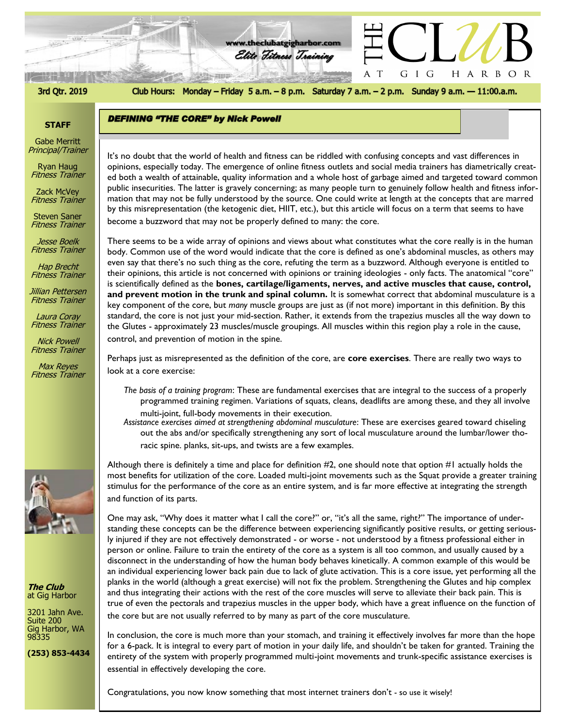# Elite Fitness Training

**DEFINING "THE CORE" by Nick Powell** 

3rd Qtr. 2019

Club Hours: Monday - Friday 5 a.m. - 8 p.m. Saturday 7 a.m. - 2 p.m. Sunday 9 a.m. - 11:00.a.m.

G I G

 $\mathbf T$ A

HARBOR

**www.theclubatgigharbor.com**

#### **STAFF**

Gabe Merritt Principal/Trainer

Ryan Haug Fitness Trainer

Zack McVey Fitness Trainer

Steven Saner Fitness Trainer

Jesse Boelk Fitness Trainer

Hap Brecht Fitness Trainer

Jillian Pettersen Fitness Trainer

Laura Coray Fitness Trainer

Nick Powell Fitness Trainer

Max Reyes Fitness Trainer



**The Club** at Gig Harbor

3201 Jahn Ave. Suite 200 Gig Harbor, WA 98335

**(253) 853-4434**

*The Club at Gig Harbor* ed both a wealth of attainable, quality information and a whole host of garbage aimed and targeted toward common It's no doubt that the world of health and fitness can be riddled with confusing concepts and vast differences in opinions, especially today. The emergence of online fitness outlets and social media trainers has diametrically creatpublic insecurities. The latter is gravely concerning; as many people turn to genuinely follow health and fitness information that may not be fully understood by the source. One could write at length at the concepts that are marred by this misrepresentation (the ketogenic diet, HIIT, etc.), but this article will focus on a term that seems to have become a buzzword that may not be properly defined to many: the core.

There seems to be a wide array of opinions and views about what constitutes what the core really is in the human body. Common use of the word would indicate that the core is defined as one's abdominal muscles, as others may even say that there's no such thing as the core, refuting the term as a buzzword. Although everyone is entitled to their opinions, this article is not concerned with opinions or training ideologies - only facts. The anatomical "core" is scientifically defined as the **bones, cartilage/ligaments, nerves, and active muscles that cause, control, and prevent motion in the trunk and spinal column.** It is somewhat correct that abdominal musculature is a key component of the core, but *many* muscle groups are just as (if not more) important in this definition. By this standard, the core is not just your mid-section. Rather, it extends from the trapezius muscles all the way down to the Glutes - approximately 23 muscles/muscle groupings. All muscles within this region play a role in the cause, control, and prevention of motion in the spine.

Perhaps just as misrepresented as the definition of the core, are **core exercises**. There are really two ways to look at a core exercise:

- *The basis of a training program*: These are fundamental exercises that are integral to the success of a properly programmed training regimen. Variations of squats, cleans, deadlifts are among these, and they all involve multi-joint, full-body movements in their execution.
- *Assistance exercises aimed at strengthening abdominal musculature*: These are exercises geared toward chiseling out the abs and/or specifically strengthening any sort of local musculature around the lumbar/lower thoracic spine. planks, sit-ups, and twists are a few examples.

Although there is definitely a time and place for definition  $#2$ , one should note that option  $#1$  actually holds the most benefits for utilization of the core. Loaded multi-joint movements such as the Squat provide a greater training stimulus for the performance of the core as an entire system, and is far more effective at integrating the strength and function of its parts.

One may ask, "Why does it matter what I call the core?" or, "it's all the same, right?" The importance of understanding these concepts can be the difference between experiencing significantly positive results, or getting seriously injured if they are not effectively demonstrated - or worse - not understood by a fitness professional either in person or online. Failure to train the entirety of the core as a system is all too common, and usually caused by a disconnect in the understanding of how the human body behaves kinetically. A common example of this would be an individual experiencing lower back pain due to lack of glute activation. This is a core issue, yet performing all the planks in the world (although a great exercise) will not fix the problem. Strengthening the Glutes and hip complex and thus integrating their actions with the rest of the core muscles will serve to alleviate their back pain. This is true of even the pectorals and trapezius muscles in the upper body, which have a great influence on the function of the core but are not usually referred to by many as part of the core musculature.

In conclusion, the core is much more than your stomach, and training it effectively involves far more than the hope for a 6-pack. It is integral to every part of motion in your daily life, and shouldn't be taken for granted. Training the entirety of the system with properly programmed multi-joint movements and trunk-specific assistance exercises is essential in effectively developing the core.

Congratulations, you now know something that most internet trainers don't - so use it wisely!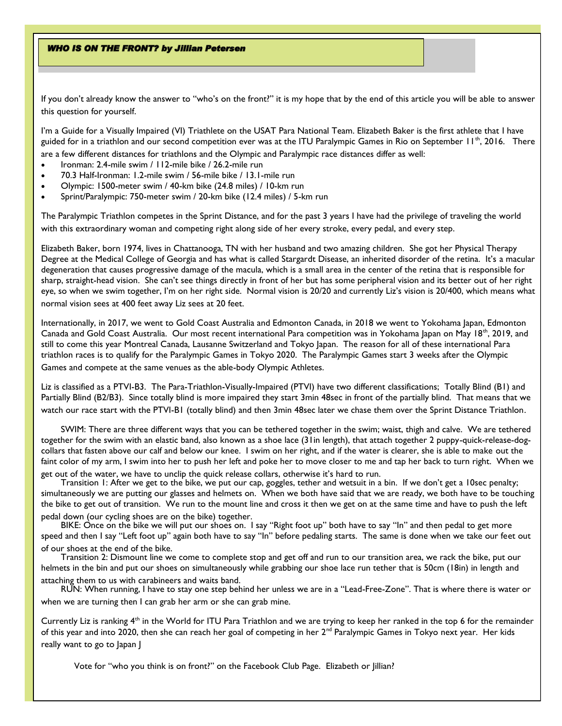**WHO IS ON THE FRONT? by Jillian Petersen** 

If you don't already know the answer to "who's on the front?" it is my hope that by the end of this article you will be able to answer this question for yourself.

I'm a Guide for a Visually Impaired (VI) Triathlete on the USAT Para National Team. Elizabeth Baker is the first athlete that I have guided for in a triathlon and our second competition ever was at the ITU Paralympic Games in Rio on September  $11<sup>th</sup>$ , 2016. There are a few different distances for triathlons and the Olympic and Paralympic race distances differ as well:

- Ironman: 2.4-mile swim / 112-mile bike / 26.2-mile run
- 70.3 Half-Ironman: 1.2-mile swim / 56-mile bike / 13.1-mile run
- Olympic: 1500-meter swim / 40-km bike (24.8 miles) / 10-km run
- Sprint/Paralympic: 750-meter swim / 20-km bike (12.4 miles) / 5-km run

The Paralympic Triathlon competes in the Sprint Distance, and for the past 3 years I have had the privilege of traveling the world with this extraordinary woman and competing right along side of her every stroke, every pedal, and every step.

Elizabeth Baker, born 1974, lives in Chattanooga, TN with her husband and two amazing children. She got her Physical Therapy Degree at the Medical College of Georgia and has what is called Stargardt Disease, an inherited disorder of the retina. It's a macular degeneration that causes progressive damage of the macula, which is a small area in the center of the retina that is responsible for sharp, straight-head vision. She can't see things directly in front of her but has some peripheral vision and its better out of her right eye, so when we swim together, I'm on her right side. Normal vision is 20/20 and currently Liz's vision is 20/400, which means what normal vision sees at 400 feet away Liz sees at 20 feet.

Internationally, in 2017, we went to Gold Coast Australia and Edmonton Canada, in 2018 we went to Yokohama Japan, Edmonton Canada and Gold Coast Australia. Our most recent international Para competition was in Yokohama Japan on May 18<sup>th</sup>, 2019, and still to come this year Montreal Canada, Lausanne Switzerland and Tokyo Japan. The reason for all of these international Para triathlon races is to qualify for the Paralympic Games in Tokyo 2020. The Paralympic Games start 3 weeks after the Olympic Games and compete at the same venues as the able-body Olympic Athletes.

Liz is classified as a PTVI-B3. The Para-Triathlon-Visually-Impaired (PTVI) have two different classifications; Totally Blind (B1) and Partially Blind (B2/B3). Since totally blind is more impaired they start 3min 48sec in front of the partially blind. That means that we watch our race start with the PTVI-B1 (totally blind) and then 3min 48sec later we chase them over the Sprint Distance Triathlon.

SWIM: There are three different ways that you can be tethered together in the swim; waist, thigh and calve. We are tethered together for the swim with an elastic band, also known as a shoe lace (31in length), that attach together 2 puppy-quick-release-dogcollars that fasten above our calf and below our knee. I swim on her right, and if the water is clearer, she is able to make out the faint color of my arm, I swim into her to push her left and poke her to move closer to me and tap her back to turn right. When we get out of the water, we have to unclip the quick release collars, otherwise it's hard to run.

Transition 1: After we get to the bike, we put our cap, goggles, tether and wetsuit in a bin. If we don't get a 10sec penalty; simultaneously we are putting our glasses and helmets on. When we both have said that we are ready, we both have to be touching the bike to get out of transition. We run to the mount line and cross it then we get on at the same time and have to push the left pedal down (our cycling shoes are on the bike) together.

BIKE: Once on the bike we will put our shoes on. I say "Right foot up" both have to say "In" and then pedal to get more speed and then I say "Left foot up" again both have to say "In" before pedaling starts. The same is done when we take our feet out of our shoes at the end of the bike.

Transition 2: Dismount line we come to complete stop and get off and run to our transition area, we rack the bike, put our helmets in the bin and put our shoes on simultaneously while grabbing our shoe lace run tether that is 50cm (18in) in length and attaching them to us with carabineers and waits band.

RUN: When running, I have to stay one step behind her unless we are in a "Lead-Free-Zone". That is where there is water or when we are turning then I can grab her arm or she can grab mine.

Currently Liz is ranking 4<sup>th</sup> in the World for ITU Para Triathlon and we are trying to keep her ranked in the top 6 for the remainder of this year and into 2020, then she can reach her goal of competing in her 2<sup>nd</sup> Paralympic Games in Tokyo next year. Her kids really want to go to Japan J

Vote for "who you think is on front?" on the Facebook Club Page. Elizabeth or Jillian?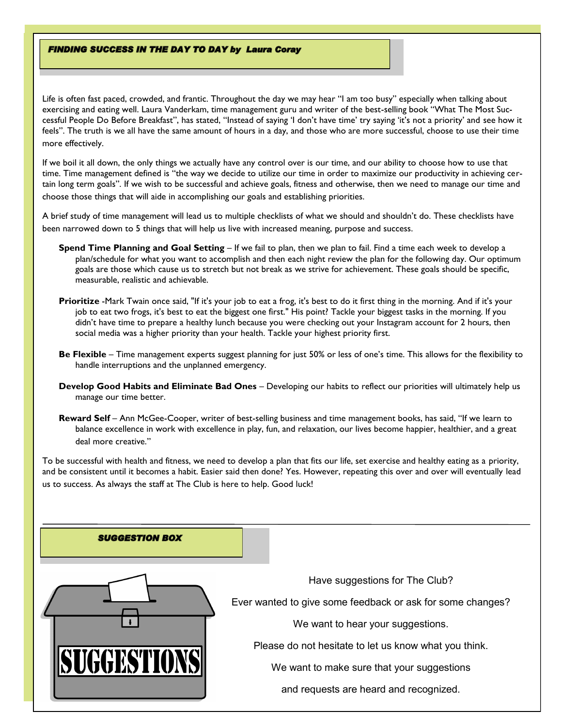#### **FINDING SUCCESS IN THE DAY TO DAY by Laura Coray**

Life is often fast paced, crowded, and frantic. Throughout the day we may hear "I am too busy" especially when talking about exercising and eating well. Laura Vanderkam, time management guru and writer of the best-selling book "What The Most Successful People Do Before Breakfast", has stated, "Instead of saying 'I don't have time' try saying 'it's not a priority' and see how it feels". The truth is we all have the same amount of hours in a day, and those who are more successful, choose to use their time more effectively.

If we boil it all down, the only things we actually have any control over is our time, and our ability to choose how to use that time. Time management defined is "the way we decide to utilize our time in order to maximize our productivity in achieving certain long term goals". If we wish to be successful and achieve goals, fitness and otherwise, then we need to manage our time and choose those things that will aide in accomplishing our goals and establishing priorities.

A brief study of time management will lead us to multiple checklists of what we should and shouldn't do. These checklists have been narrowed down to 5 things that will help us live with increased meaning, purpose and success.

- **Spend Time Planning and Goal Setting** If we fail to plan, then we plan to fail. Find a time each week to develop a plan/schedule for what you want to accomplish and then each night review the plan for the following day. Our optimum goals are those which cause us to stretch but not break as we strive for achievement. These goals should be specific, measurable, realistic and achievable.
- **Prioritize** -Mark Twain once said, "If it's your job to eat a frog, it's best to do it first thing in the morning. And if it's your job to eat two frogs, it's best to eat the biggest one first." His point? Tackle your biggest tasks in the morning. If you didn't have time to prepare a healthy lunch because you were checking out your Instagram account for 2 hours, then social media was a higher priority than your health. Tackle your highest priority first.
- **Be Flexible** Time management experts suggest planning for just 50% or less of one's time. This allows for the flexibility to handle interruptions and the unplanned emergency.
- **Develop Good Habits and Eliminate Bad Ones** Developing our habits to reflect our priorities will ultimately help us manage our time better.
- **Reward Self** Ann McGee-Cooper, writer of best-selling business and time management books, has said, "If we learn to balance excellence in work with excellence in play, fun, and relaxation, our lives become happier, healthier, and a great deal more creative."

To be successful with health and fitness, we need to develop a plan that fits our life, set exercise and healthy eating as a priority, and be consistent until it becomes a habit. Easier said then done? Yes. However, repeating this over and over will eventually lead us to success. As always the staff at The Club is here to help. Good luck!

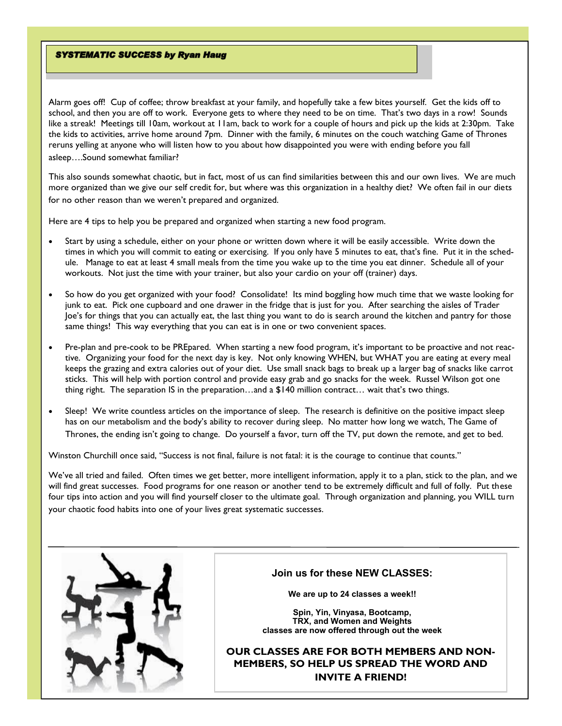#### **SYSTEMATIC SUCCESS by Ryan Haug**

Alarm goes off! Cup of coffee; throw breakfast at your family, and hopefully take a few bites yourself. Get the kids off to school, and then you are off to work. Everyone gets to where they need to be on time. That's two days in a row! Sounds like a streak! Meetings till 10am, workout at 11am, back to work for a couple of hours and pick up the kids at 2:30pm. Take the kids to activities, arrive home around 7pm. Dinner with the family, 6 minutes on the couch watching Game of Thrones reruns yelling at anyone who will listen how to you about how disappointed you were with ending before you fall asleep….Sound somewhat familiar?

This also sounds somewhat chaotic, but in fact, most of us can find similarities between this and our own lives. We are much more organized than we give our self credit for, but where was this organization in a healthy diet? We often fail in our diets for no other reason than we weren't prepared and organized.

Here are 4 tips to help you be prepared and organized when starting a new food program.

- Start by using a schedule, either on your phone or written down where it will be easily accessible. Write down the times in which you will commit to eating or exercising. If you only have 5 minutes to eat, that's fine. Put it in the schedule. Manage to eat at least 4 small meals from the time you wake up to the time you eat dinner. Schedule all of your workouts. Not just the time with your trainer, but also your cardio on your off (trainer) days.
- So how do you get organized with your food? Consolidate! Its mind boggling how much time that we waste looking for junk to eat. Pick one cupboard and one drawer in the fridge that is just for you. After searching the aisles of Trader Joe's for things that you can actually eat, the last thing you want to do is search around the kitchen and pantry for those same things! This way everything that you can eat is in one or two convenient spaces.
- Pre-plan and pre-cook to be PREpared. When starting a new food program, it's important to be proactive and not reactive. Organizing your food for the next day is key. Not only knowing WHEN, but WHAT you are eating at every meal keeps the grazing and extra calories out of your diet. Use small snack bags to break up a larger bag of snacks like carrot sticks. This will help with portion control and provide easy grab and go snacks for the week. Russel Wilson got one thing right. The separation IS in the preparation…and a \$140 million contract… wait that's two things.
- Sleep! We write countless articles on the importance of sleep. The research is definitive on the positive impact sleep has on our metabolism and the body's ability to recover during sleep. No matter how long we watch, The Game of Thrones, the ending isn't going to change. Do yourself a favor, turn off the TV, put down the remote, and get to bed.

Winston Churchill once said, "Success is not final, failure is not fatal: it is the courage to continue that counts."

We've all tried and failed. Often times we get better, more intelligent information, apply it to a plan, stick to the plan, and we will find great successes. Food programs for one reason or another tend to be extremely difficult and full of folly. Put these four tips into action and you will find yourself closer to the ultimate goal. Through organization and planning, you WILL turn your chaotic food habits into one of your lives great systematic successes.



#### **Join us for these NEW CLASSES:**

**We are up to 24 classes a week!!**

**Spin, Yin, Vinyasa, Bootcamp, TRX, and Women and Weights classes are now offered through out the week**

**OUR CLASSES ARE FOR BOTH MEMBERS AND NON-MEMBERS, SO HELP US SPREAD THE WORD AND INVITE A FRIEND!**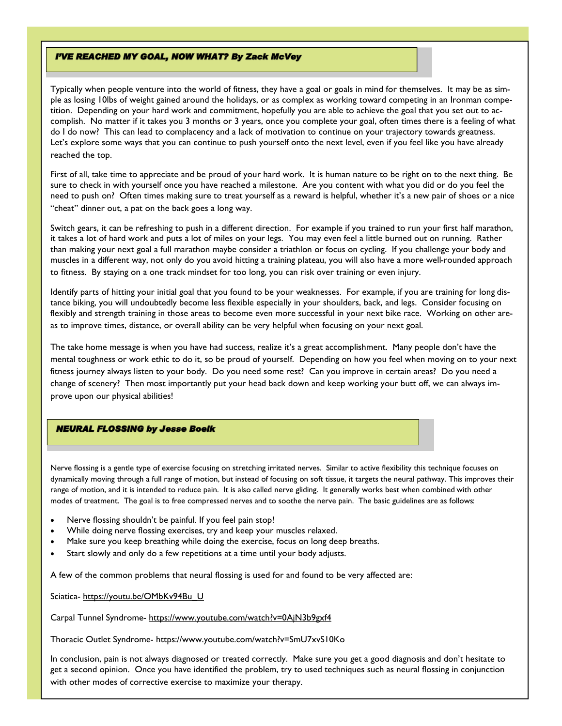#### **I'VE REACHED MY GOAL, NOW WHAT? By Zack McVey**

Typically when people venture into the world of fitness, they have a goal or goals in mind for themselves. It may be as simple as losing 10lbs of weight gained around the holidays, or as complex as working toward competing in an Ironman competition. Depending on your hard work and commitment, hopefully you are able to achieve the goal that you set out to accomplish. No matter if it takes you 3 months or 3 years, once you complete your goal, often times there is a feeling of what do I do now? This can lead to complacency and a lack of motivation to continue on your trajectory towards greatness. Let's explore some ways that you can continue to push yourself onto the next level, even if you feel like you have already reached the top.

First of all, take time to appreciate and be proud of your hard work. It is human nature to be right on to the next thing. Be sure to check in with yourself once you have reached a milestone. Are you content with what you did or do you feel the need to push on? Often times making sure to treat yourself as a reward is helpful, whether it's a new pair of shoes or a nice "cheat" dinner out, a pat on the back goes a long way.

Switch gears, it can be refreshing to push in a different direction. For example if you trained to run your first half marathon, it takes a lot of hard work and puts a lot of miles on your legs. You may even feel a little burned out on running. Rather than making your next goal a full marathon maybe consider a triathlon or focus on cycling. If you challenge your body and muscles in a different way, not only do you avoid hitting a training plateau, you will also have a more well-rounded approach to fitness. By staying on a one track mindset for too long, you can risk over training or even injury.

Identify parts of hitting your initial goal that you found to be your weaknesses. For example, if you are training for long distance biking, you will undoubtedly become less flexible especially in your shoulders, back, and legs. Consider focusing on flexibly and strength training in those areas to become even more successful in your next bike race. Working on other areas to improve times, distance, or overall ability can be very helpful when focusing on your next goal.

The take home message is when you have had success, realize it's a great accomplishment. Many people don't have the mental toughness or work ethic to do it, so be proud of yourself. Depending on how you feel when moving on to your next fitness journey always listen to your body. Do you need some rest? Can you improve in certain areas? Do you need a change of scenery? Then most importantly put your head back down and keep working your butt off, we can always improve upon our physical abilities!

### **NEURAL FLOSSING by Jesse Boelk**

Nerve flossing is a gentle type of exercise focusing on stretching irritated nerves. Similar to active flexibility this technique focuses on dynamically moving through a full range of motion, but instead of focusing on soft tissue, it targets the neural pathway. This improves their range of motion, and it is intended to reduce pain. It is also called nerve gliding. It generally works best when combined with other modes of treatment. The goal is to free compressed nerves and to soothe the nerve pain. The basic guidelines are as follows:

- Nerve flossing shouldn't be painful. If you feel pain stop!
- While doing nerve flossing exercises, try and keep your muscles relaxed.
- Make sure you keep breathing while doing the exercise, focus on long deep breaths.
- Start slowly and only do a few repetitions at a time until your body adjusts.

A few of the common problems that neural flossing is used for and found to be very affected are:

Sciatica- https://youtu.be/OMbKv94Bu U

Carpal Tunnel Syndrome- https://www.youtube.com/watch?v=0AjN3b9gxf4

Thoracic Outlet Syndrome- https://www.youtube.com/watch?v=SmU7xvS10Ko

In conclusion, pain is not always diagnosed or treated correctly. Make sure you get a good diagnosis and don't hesitate to get a second opinion. Once you have identified the problem, try to used techniques such as neural flossing in conjunction with other modes of corrective exercise to maximize your therapy.